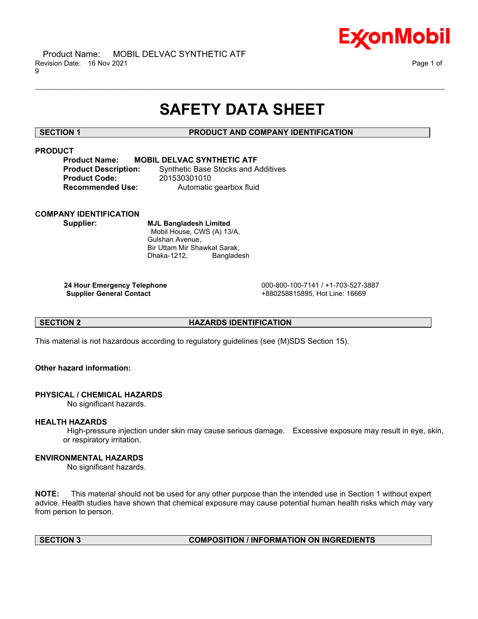

# **SAFETY DATA SHEET**

\_\_\_\_\_\_\_\_\_\_\_\_\_\_\_\_\_\_\_\_\_\_\_\_\_\_\_\_\_\_\_\_\_\_\_\_\_\_\_\_\_\_\_\_\_\_\_\_\_\_\_\_\_\_\_\_\_\_\_\_\_\_\_\_\_\_\_\_\_\_\_\_\_\_\_\_\_\_\_\_\_\_\_\_\_\_\_\_\_\_\_\_\_\_\_\_\_\_\_\_\_\_\_\_\_\_\_\_\_\_\_\_\_\_\_\_\_\_

# **SECTION 1 PRODUCT AND COMPANY IDENTIFICATION**

# **PRODUCT**

### **Product Name: MOBIL DELVAC SYNTHETIC ATF**

**Product Code:** 201530301010

**Product Description:** Synthetic Base Stocks and Additives **Recommended Use:** Automatic gearbox fluid

# **COMPANY IDENTIFICATION**

**Supplier: MJL Bangladesh Limited** Mobil House, CWS (A) 13/A, Gulshan Avenue, Bir Uttam Mir Shawkat Sarak, Dhaka-1212, Bangladesh

**24 Hour Emergency Telephone** 000-800-100-7141 / +1-703-527-3887 **Supplier General Contact** +880258815895, Hot Line: 16669

# **SECTION 2 HAZARDS IDENTIFICATION**

This material is not hazardous according to regulatory guidelines (see (M)SDS Section 15).

# **Other hazard information:**

# **PHYSICAL / CHEMICAL HAZARDS**

No significant hazards.

# **HEALTH HAZARDS**

High-pressure injection under skin may cause serious damage. Excessive exposure may result in eye, skin, or respiratory irritation.

# **ENVIRONMENTAL HAZARDS**

No significant hazards.

**NOTE:** This material should not be used for any other purpose than the intended use in Section 1 without expert advice. Health studies have shown that chemical exposure may cause potential human health risks which may vary from person to person.

# **SECTION 3 COMPOSITION / INFORMATION ON INGREDIENTS**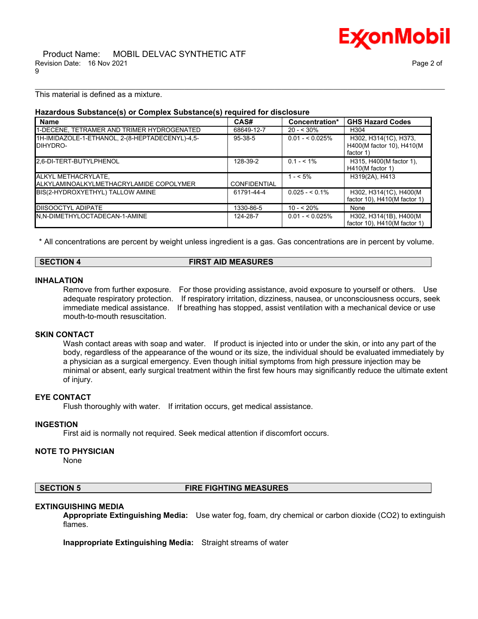

This material is defined as a mixture.

# **Hazardous Substance(s) or Complex Substance(s) required for disclosure**

| <b>Name</b>                                                    | CAS#                | Concentration*   | <b>GHS Hazard Codes</b>                                         |
|----------------------------------------------------------------|---------------------|------------------|-----------------------------------------------------------------|
| 1-DECENE, TETRAMER AND TRIMER HYDROGENATED                     | 68649-12-7          | $20 - 530\%$     | H <sub>304</sub>                                                |
| 1H-IMIDAZOLE-1-ETHANOL, 2-(8-HEPTADECENYL)-4,5-<br>DIHYDRO-    | $95 - 38 - 5$       | $0.01 - 5.025\%$ | H302, H314(1C), H373,<br>H400(M factor 10), H410(M<br>factor 1) |
| 2,6-DI-TERT-BUTYLPHENOL                                        | 128-39-2            | $0.1 - 5.1\%$    | H315, H400(M factor 1),<br>$H410(M$ factor 1)                   |
| ALKYL METHACRYLATE,<br>ALKYLAMINOALKYLMETHACRYLAMIDE COPOLYMER | <b>CONFIDENTIAL</b> | $1 - 5\%$        | H319(2A), H413                                                  |
| BIS(2-HYDROXYETHYL) TALLOW AMINE                               | 61791-44-4          | $0.025 - 5.1\%$  | H302, H314(1C), H400(M<br>factor 10), $H410(M$ factor 1)        |
| <b>DISOOCTYL ADIPATE</b>                                       | 1330-86-5           | $10 - 520%$      | None                                                            |
| N,N-DIMETHYLOCTADECAN-1-AMINE                                  | 124-28-7            | $0.01 - 5.025\%$ | H302, H314(1B), H400(M)<br>factor 10), $H410(M$ factor 1)       |

\_\_\_\_\_\_\_\_\_\_\_\_\_\_\_\_\_\_\_\_\_\_\_\_\_\_\_\_\_\_\_\_\_\_\_\_\_\_\_\_\_\_\_\_\_\_\_\_\_\_\_\_\_\_\_\_\_\_\_\_\_\_\_\_\_\_\_\_\_\_\_\_\_\_\_\_\_\_\_\_\_\_\_\_\_\_\_\_\_\_\_\_\_\_\_\_\_\_\_\_\_\_\_\_\_\_\_\_\_\_\_\_\_\_\_\_\_\_

\* All concentrations are percent by weight unless ingredient is a gas. Gas concentrations are in percent by volume.

# **SECTION 4 FIRST AID MEASURES**

### **INHALATION**

Remove from further exposure. For those providing assistance, avoid exposure to yourself or others. Use adequate respiratory protection. If respiratory irritation, dizziness, nausea, or unconsciousness occurs, seek immediate medical assistance. If breathing has stopped, assist ventilation with a mechanical device or use mouth-to-mouth resuscitation.

#### **SKIN CONTACT**

Wash contact areas with soap and water. If product is injected into or under the skin, or into any part of the body, regardless of the appearance of the wound or its size, the individual should be evaluated immediately by a physician as a surgical emergency. Even though initial symptoms from high pressure injection may be minimal or absent, early surgical treatment within the first few hours may significantly reduce the ultimate extent of injury.

# **EYE CONTACT**

Flush thoroughly with water. If irritation occurs, get medical assistance.

#### **INGESTION**

First aid is normally not required. Seek medical attention if discomfort occurs.

### **NOTE TO PHYSICIAN**

None

### **SECTION 5 FIRE FIGHTING MEASURES**

#### **EXTINGUISHING MEDIA**

**Appropriate Extinguishing Media:** Use water fog, foam, dry chemical or carbon dioxide (CO2) to extinguish flames.

**Inappropriate Extinguishing Media:** Straight streams of water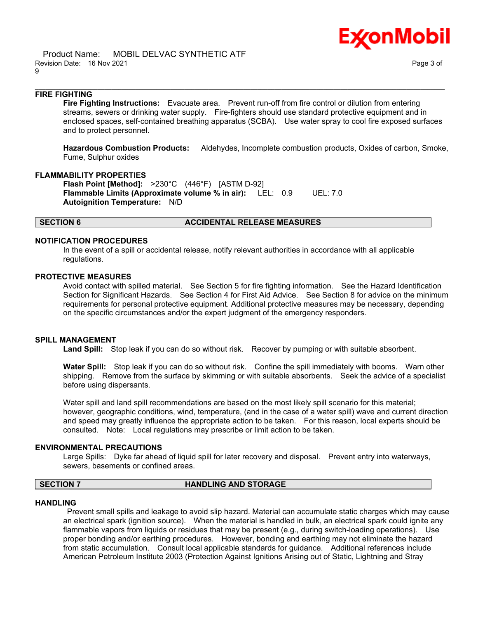



# **FIRE FIGHTING**

**Fire Fighting Instructions:** Evacuate area. Prevent run-off from fire control or dilution from entering streams, sewers or drinking water supply. Fire-fighters should use standard protective equipment and in enclosed spaces, self-contained breathing apparatus (SCBA). Use water spray to cool fire exposed surfaces and to protect personnel.

\_\_\_\_\_\_\_\_\_\_\_\_\_\_\_\_\_\_\_\_\_\_\_\_\_\_\_\_\_\_\_\_\_\_\_\_\_\_\_\_\_\_\_\_\_\_\_\_\_\_\_\_\_\_\_\_\_\_\_\_\_\_\_\_\_\_\_\_\_\_\_\_\_\_\_\_\_\_\_\_\_\_\_\_\_\_\_\_\_\_\_\_\_\_\_\_\_\_\_\_\_\_\_\_\_\_\_\_\_\_\_\_\_\_\_\_\_\_

**Hazardous Combustion Products:** Aldehydes, Incomplete combustion products, Oxides of carbon, Smoke, Fume, Sulphur oxides

# **FLAMMABILITY PROPERTIES**

**Flash Point [Method]:** >230°C (446°F) [ASTM D-92] **Flammable Limits (Approximate volume % in air):** LEL: 0.9 UEL: 7.0 **Autoignition Temperature:** N/D

### **SECTION 6 ACCIDENTAL RELEASE MEASURES**

#### **NOTIFICATION PROCEDURES**

In the event of a spill or accidental release, notify relevant authorities in accordance with all applicable regulations.

#### **PROTECTIVE MEASURES**

Avoid contact with spilled material. See Section 5 for fire fighting information. See the Hazard Identification Section for Significant Hazards. See Section 4 for First Aid Advice. See Section 8 for advice on the minimum requirements for personal protective equipment. Additional protective measures may be necessary, depending on the specific circumstances and/or the expert judgment of the emergency responders.

### **SPILL MANAGEMENT**

**Land Spill:** Stop leak if you can do so without risk. Recover by pumping or with suitable absorbent.

**Water Spill:** Stop leak if you can do so without risk. Confine the spill immediately with booms. Warn other shipping. Remove from the surface by skimming or with suitable absorbents. Seek the advice of a specialist before using dispersants.

Water spill and land spill recommendations are based on the most likely spill scenario for this material; however, geographic conditions, wind, temperature, (and in the case of a water spill) wave and current direction and speed may greatly influence the appropriate action to be taken. For this reason, local experts should be consulted. Note: Local regulations may prescribe or limit action to be taken.

#### **ENVIRONMENTAL PRECAUTIONS**

Large Spills: Dyke far ahead of liquid spill for later recovery and disposal. Prevent entry into waterways, sewers, basements or confined areas.

#### **SECTION 7 HANDLING AND STORAGE**

#### **HANDLING**

Prevent small spills and leakage to avoid slip hazard. Material can accumulate static charges which may cause an electrical spark (ignition source). When the material is handled in bulk, an electrical spark could ignite any flammable vapors from liquids or residues that may be present (e.g., during switch-loading operations). Use proper bonding and/or earthing procedures. However, bonding and earthing may not eliminate the hazard from static accumulation. Consult local applicable standards for guidance. Additional references include American Petroleum Institute 2003 (Protection Against Ignitions Arising out of Static, Lightning and Stray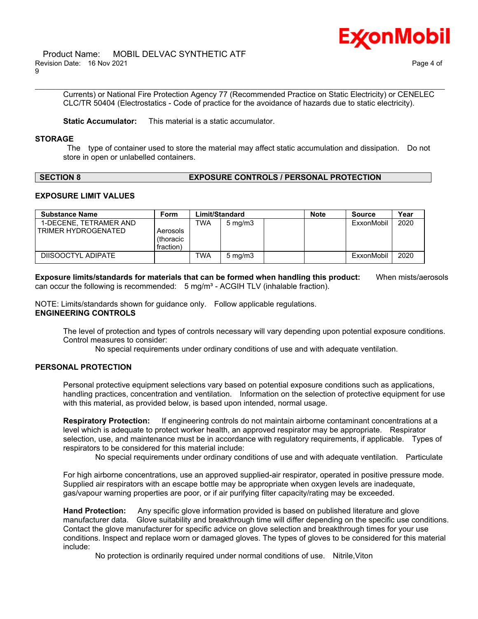

Currents) or National Fire Protection Agency 77 (Recommended Practice on Static Electricity) or CENELEC CLC/TR 50404 (Electrostatics - Code of practice for the avoidance of hazards due to static electricity).

\_\_\_\_\_\_\_\_\_\_\_\_\_\_\_\_\_\_\_\_\_\_\_\_\_\_\_\_\_\_\_\_\_\_\_\_\_\_\_\_\_\_\_\_\_\_\_\_\_\_\_\_\_\_\_\_\_\_\_\_\_\_\_\_\_\_\_\_\_\_\_\_\_\_\_\_\_\_\_\_\_\_\_\_\_\_\_\_\_\_\_\_\_\_\_\_\_\_\_\_\_\_\_\_\_\_\_\_\_\_\_\_\_\_\_\_\_\_

**Static Accumulator:** This material is a static accumulator.

#### **STORAGE**

The type of container used to store the material may affect static accumulation and dissipation. Do not store in open or unlabelled containers.

# **SECTION 8 EXPOSURE CONTROLS / PERSONAL PROTECTION**

# **EXPOSURE LIMIT VALUES**

| <b>Substance Name</b>                         | Form                               | Limit/Standard |                  | <b>Note</b> | <b>Source</b> | Year |
|-----------------------------------------------|------------------------------------|----------------|------------------|-------------|---------------|------|
| 1-DECENE. TETRAMER AND<br>TRIMER HYDROGENATED | Aerosols<br>(thoracic<br>fraction) | TWA            | $5 \text{ mg/m}$ |             | ExxonMobil    | 2020 |
| DIISOOCTYL ADIPATE                            |                                    | <b>TWA</b>     | $5 \text{ mg/m}$ |             | ExxonMobil    | 2020 |

**Exposure limits/standards for materials that can be formed when handling this product:** When mists/aerosols can occur the following is recommended:  $5 \text{ mg/m}^3$  - ACGIH TLV (inhalable fraction).

NOTE: Limits/standards shown for guidance only. Follow applicable regulations. **ENGINEERING CONTROLS**

The level of protection and types of controls necessary will vary depending upon potential exposure conditions. Control measures to consider:

No special requirements under ordinary conditions of use and with adequate ventilation.

# **PERSONAL PROTECTION**

Personal protective equipment selections vary based on potential exposure conditions such as applications, handling practices, concentration and ventilation. Information on the selection of protective equipment for use with this material, as provided below, is based upon intended, normal usage.

**Respiratory Protection:** If engineering controls do not maintain airborne contaminant concentrations at a level which is adequate to protect worker health, an approved respirator may be appropriate. Respirator selection, use, and maintenance must be in accordance with regulatory requirements, if applicable. Types of respirators to be considered for this material include:

No special requirements under ordinary conditions of use and with adequate ventilation. Particulate

For high airborne concentrations, use an approved supplied-air respirator, operated in positive pressure mode. Supplied air respirators with an escape bottle may be appropriate when oxygen levels are inadequate, gas/vapour warning properties are poor, or if air purifying filter capacity/rating may be exceeded.

**Hand Protection:** Any specific glove information provided is based on published literature and glove manufacturer data. Glove suitability and breakthrough time will differ depending on the specific use conditions. Contact the glove manufacturer for specific advice on glove selection and breakthrough times for your use conditions. Inspect and replace worn or damaged gloves. The types of gloves to be considered for this material include:

No protection is ordinarily required under normal conditions of use. Nitrile,Viton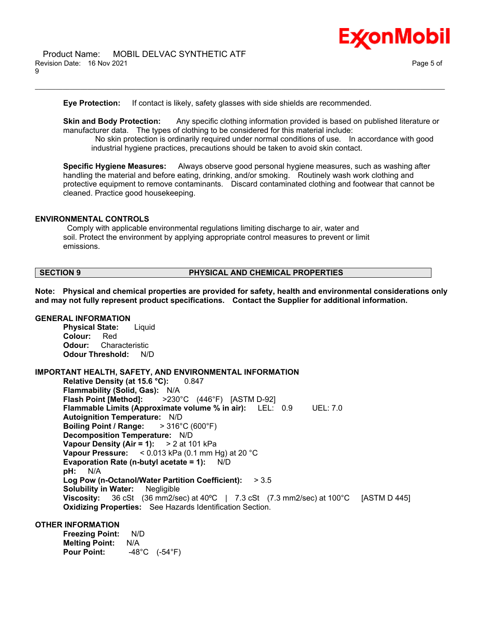

**Eye Protection:** If contact is likely, safety glasses with side shields are recommended.

**Skin and Body Protection:** Any specific clothing information provided is based on published literature or manufacturer data. The types of clothing to be considered for this material include:

\_\_\_\_\_\_\_\_\_\_\_\_\_\_\_\_\_\_\_\_\_\_\_\_\_\_\_\_\_\_\_\_\_\_\_\_\_\_\_\_\_\_\_\_\_\_\_\_\_\_\_\_\_\_\_\_\_\_\_\_\_\_\_\_\_\_\_\_\_\_\_\_\_\_\_\_\_\_\_\_\_\_\_\_\_\_\_\_\_\_\_\_\_\_\_\_\_\_\_\_\_\_\_\_\_\_\_\_\_\_\_\_\_\_\_\_\_\_

No skin protection is ordinarily required under normal conditions of use. In accordance with good industrial hygiene practices, precautions should be taken to avoid skin contact.

**Specific Hygiene Measures:** Always observe good personal hygiene measures, such as washing after handling the material and before eating, drinking, and/or smoking. Routinely wash work clothing and protective equipment to remove contaminants. Discard contaminated clothing and footwear that cannot be cleaned. Practice good housekeeping.

### **ENVIRONMENTAL CONTROLS**

Comply with applicable environmental regulations limiting discharge to air, water and soil. Protect the environment by applying appropriate control measures to prevent or limit emissions.

## **SECTION 9 PHYSICAL AND CHEMICAL PROPERTIES**

**Note: Physical and chemical properties are provided for safety, health and environmental considerations only and may not fully represent product specifications. Contact the Supplier for additional information.**

### **GENERAL INFORMATION**

**Physical State:** Liquid **Colour:** Red **Odour:** Characteristic **Odour Threshold:** N/D

#### **IMPORTANT HEALTH, SAFETY, AND ENVIRONMENTAL INFORMATION**

**Relative Density (at 15.6 °C):** 0.847 **Flammability (Solid, Gas):** N/A **Flash Point [Method]:** >230°C (446°F) [ASTM D-92] **Flammable Limits (Approximate volume % in air):** LEL: 0.9 UEL: 7.0 **Autoignition Temperature:** N/D **Boiling Point / Range:** > 316°C (600°F) **Decomposition Temperature:** N/D **Vapour Density (Air = 1):** > 2 at 101 kPa **Vapour Pressure:** < 0.013 kPa (0.1 mm Hg) at 20 °C **Evaporation Rate (n-butyl acetate = 1):** N/D **pH:** N/A **Log Pow (n-Octanol/Water Partition Coefficient):** > 3.5 **Solubility in Water:** Negligible **Viscosity:** 36 cSt (36 mm2/sec) at 40ºC | 7.3 cSt (7.3 mm2/sec) at 100°C [ASTM D 445] **Oxidizing Properties:** See Hazards Identification Section.

### **OTHER INFORMATION**

**Freezing Point:** N/D **Melting Point:** N/A **Pour Point:** -48°C (-54°F)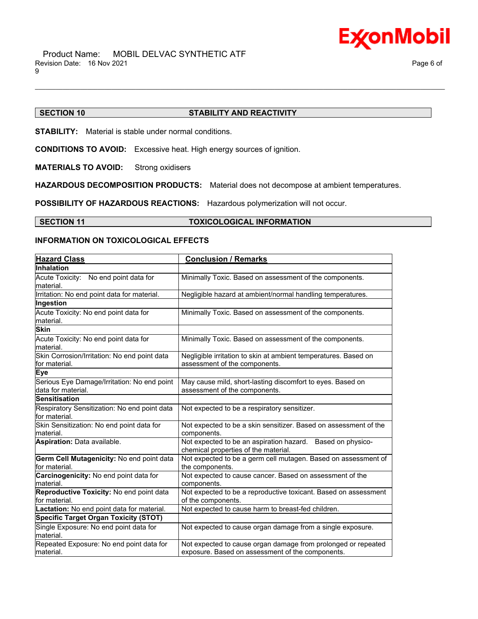

# **SECTION 10 STABILITY AND REACTIVITY**

\_\_\_\_\_\_\_\_\_\_\_\_\_\_\_\_\_\_\_\_\_\_\_\_\_\_\_\_\_\_\_\_\_\_\_\_\_\_\_\_\_\_\_\_\_\_\_\_\_\_\_\_\_\_\_\_\_\_\_\_\_\_\_\_\_\_\_\_\_\_\_\_\_\_\_\_\_\_\_\_\_\_\_\_\_\_\_\_\_\_\_\_\_\_\_\_\_\_\_\_\_\_\_\_\_\_\_\_\_\_\_\_\_\_\_\_\_\_

**STABILITY:** Material is stable under normal conditions.

**CONDITIONS TO AVOID:** Excessive heat. High energy sources of ignition.

**MATERIALS TO AVOID:** Strong oxidisers

**HAZARDOUS DECOMPOSITION PRODUCTS:** Material does not decompose at ambient temperatures.

**POSSIBILITY OF HAZARDOUS REACTIONS:** Hazardous polymerization will not occur.

**SECTION 11 TOXICOLOGICAL INFORMATION**

# **INFORMATION ON TOXICOLOGICAL EFFECTS**

| <b>Hazard Class</b>                                               | <b>Conclusion / Remarks</b>                                                                                       |  |
|-------------------------------------------------------------------|-------------------------------------------------------------------------------------------------------------------|--|
| Inhalation                                                        |                                                                                                                   |  |
| Acute Toxicity: No end point data for<br>material.                | Minimally Toxic. Based on assessment of the components.                                                           |  |
| Irritation: No end point data for material.                       | Negligible hazard at ambient/normal handling temperatures.                                                        |  |
| Ingestion                                                         |                                                                                                                   |  |
| Acute Toxicity: No end point data for<br>material.                | Minimally Toxic. Based on assessment of the components.                                                           |  |
| <b>Skin</b>                                                       |                                                                                                                   |  |
| Acute Toxicity: No end point data for<br>material.                | Minimally Toxic. Based on assessment of the components.                                                           |  |
| Skin Corrosion/Irritation: No end point data<br>for material.     | Negligible irritation to skin at ambient temperatures. Based on<br>assessment of the components.                  |  |
| <b>Eye</b>                                                        |                                                                                                                   |  |
| Serious Eye Damage/Irritation: No end point<br>data for material. | May cause mild, short-lasting discomfort to eyes. Based on<br>assessment of the components.                       |  |
| <b>Sensitisation</b>                                              |                                                                                                                   |  |
| Respiratory Sensitization: No end point data<br>for material.     | Not expected to be a respiratory sensitizer.                                                                      |  |
| Skin Sensitization: No end point data for<br>material.            | Not expected to be a skin sensitizer. Based on assessment of the<br>components.                                   |  |
| Aspiration: Data available.                                       | Not expected to be an aspiration hazard. Based on physico-<br>chemical properties of the material.                |  |
| Germ Cell Mutagenicity: No end point data<br>for material.        | Not expected to be a germ cell mutagen. Based on assessment of<br>the components.                                 |  |
| Carcinogenicity: No end point data for<br>material.               | Not expected to cause cancer. Based on assessment of the<br>components.                                           |  |
| Reproductive Toxicity: No end point data<br>for material.         | Not expected to be a reproductive toxicant. Based on assessment<br>of the components.                             |  |
| Lactation: No end point data for material.                        | Not expected to cause harm to breast-fed children.                                                                |  |
| <b>Specific Target Organ Toxicity (STOT)</b>                      |                                                                                                                   |  |
| Single Exposure: No end point data for<br>material.               | Not expected to cause organ damage from a single exposure.                                                        |  |
| Repeated Exposure: No end point data for<br>lmaterial.            | Not expected to cause organ damage from prolonged or repeated<br>exposure. Based on assessment of the components. |  |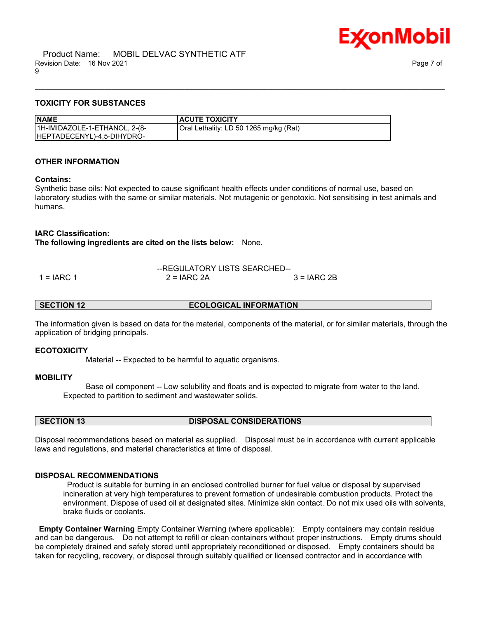

# **TOXICITY FOR SUBSTANCES**

| <b>NAME</b>                   | <b>ACUTE TOXICITY</b>                  |
|-------------------------------|----------------------------------------|
| 1H-IMIDAZOLE-1-ETHANOL, 2-(8- | Oral Lethality: LD 50 1265 mg/kg (Rat) |
| HEPTADECENYL)-4,5-DIHYDRO-    |                                        |

# **OTHER INFORMATION**

### **Contains:**

Synthetic base oils: Not expected to cause significant health effects under conditions of normal use, based on laboratory studies with the same or similar materials. Not mutagenic or genotoxic. Not sensitising in test animals and humans.

\_\_\_\_\_\_\_\_\_\_\_\_\_\_\_\_\_\_\_\_\_\_\_\_\_\_\_\_\_\_\_\_\_\_\_\_\_\_\_\_\_\_\_\_\_\_\_\_\_\_\_\_\_\_\_\_\_\_\_\_\_\_\_\_\_\_\_\_\_\_\_\_\_\_\_\_\_\_\_\_\_\_\_\_\_\_\_\_\_\_\_\_\_\_\_\_\_\_\_\_\_\_\_\_\_\_\_\_\_\_\_\_\_\_\_\_\_\_

# **IARC Classification:**

**The following ingredients are cited on the lists below:** None.

|              | --REGULATORY LISTS SEARCHED-- |              |  |
|--------------|-------------------------------|--------------|--|
| $1 = IARC 1$ | $2 = IARC 2A$                 | $3 = IARC2B$ |  |

## **SECTION 12 ECOLOGICAL INFORMATION**

The information given is based on data for the material, components of the material, or for similar materials, through the application of bridging principals.

#### **ECOTOXICITY**

Material -- Expected to be harmful to aquatic organisms.

#### **MOBILITY**

 Base oil component -- Low solubility and floats and is expected to migrate from water to the land. Expected to partition to sediment and wastewater solids.

**SECTION 13 DISPOSAL CONSIDERATIONS**

Disposal recommendations based on material as supplied. Disposal must be in accordance with current applicable laws and regulations, and material characteristics at time of disposal.

# **DISPOSAL RECOMMENDATIONS**

Product is suitable for burning in an enclosed controlled burner for fuel value or disposal by supervised incineration at very high temperatures to prevent formation of undesirable combustion products. Protect the environment. Dispose of used oil at designated sites. Minimize skin contact. Do not mix used oils with solvents, brake fluids or coolants.

**Empty Container Warning** Empty Container Warning (where applicable): Empty containers may contain residue and can be dangerous. Do not attempt to refill or clean containers without proper instructions. Empty drums should be completely drained and safely stored until appropriately reconditioned or disposed. Empty containers should be taken for recycling, recovery, or disposal through suitably qualified or licensed contractor and in accordance with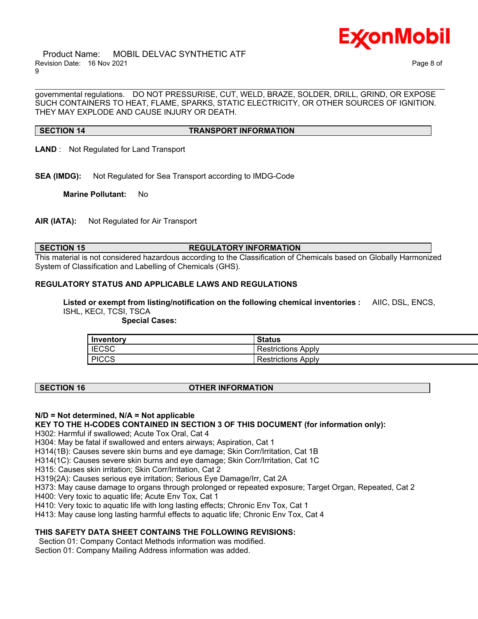

 Product Name: MOBIL DELVAC SYNTHETIC ATF Revision Date: 16 Nov 2021 Page 8 of 9

governmental regulations. DO NOT PRESSURISE, CUT, WELD, BRAZE, SOLDER, DRILL, GRIND, OR EXPOSE SUCH CONTAINERS TO HEAT, FLAME, SPARKS, STATIC ELECTRICITY, OR OTHER SOURCES OF IGNITION. THEY MAY EXPLODE AND CAUSE INJURY OR DEATH.

\_\_\_\_\_\_\_\_\_\_\_\_\_\_\_\_\_\_\_\_\_\_\_\_\_\_\_\_\_\_\_\_\_\_\_\_\_\_\_\_\_\_\_\_\_\_\_\_\_\_\_\_\_\_\_\_\_\_\_\_\_\_\_\_\_\_\_\_\_\_\_\_\_\_\_\_\_\_\_\_\_\_\_\_\_\_\_\_\_\_\_\_\_\_\_\_\_\_\_\_\_\_\_\_\_\_\_\_\_\_\_\_\_\_\_\_\_\_

#### **SECTION 14 TRANSPORT INFORMATION**

- **LAND** : Not Regulated for Land Transport
- **SEA (IMDG):** Not Regulated for Sea Transport according to IMDG-Code

**Marine Pollutant:** No

**AIR (IATA):** Not Regulated for Air Transport

#### **SECTION 15 REGULATORY INFORMATION**

This material is not considered hazardous according to the Classification of Chemicals based on Globally Harmonized System of Classification and Labelling of Chemicals (GHS).

# **REGULATORY STATUS AND APPLICABLE LAWS AND REGULATIONS**

**Listed or exempt from listing/notification on the following chemical inventories :** AIIC, DSL, ENCS, ISHL, KECI, TCSI, TSCA

 **Special Cases:**

| Inventory    | <b>Status</b>          |
|--------------|------------------------|
| <b>IECSC</b> | Apply<br>Restrictions  |
| <b>PICCS</b> | Restrictions.<br>Apply |

# **SECTION 16 OTHER INFORMATION**

#### **N/D = Not determined, N/A = Not applicable**

# **KEY TO THE H-CODES CONTAINED IN SECTION 3 OF THIS DOCUMENT (for information only):**

H302: Harmful if swallowed; Acute Tox Oral, Cat 4

H304: May be fatal if swallowed and enters airways; Aspiration, Cat 1

H314(1B): Causes severe skin burns and eye damage; Skin Corr/Irritation, Cat 1B

H314(1C): Causes severe skin burns and eye damage; Skin Corr/Irritation, Cat 1C

H315: Causes skin irritation; Skin Corr/Irritation, Cat 2

H319(2A): Causes serious eye irritation; Serious Eye Damage/Irr, Cat 2A

H373: May cause damage to organs through prolonged or repeated exposure; Target Organ, Repeated, Cat 2

H400: Very toxic to aquatic life; Acute Env Tox, Cat 1

H410: Very toxic to aquatic life with long lasting effects; Chronic Env Tox, Cat 1

H413: May cause long lasting harmful effects to aquatic life; Chronic Env Tox, Cat 4

# **THIS SAFETY DATA SHEET CONTAINS THE FOLLOWING REVISIONS:**

Section 01: Company Contact Methods information was modified.

Section 01: Company Mailing Address information was added.